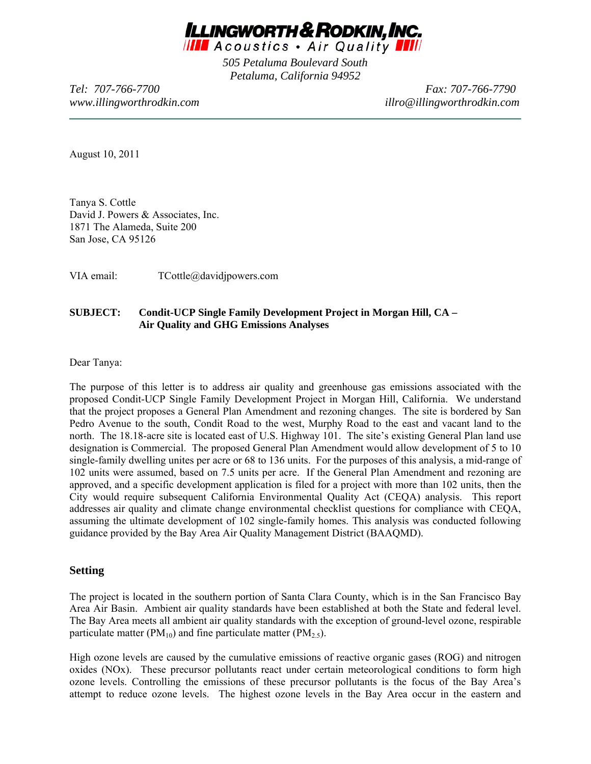

*505 Petaluma Boulevard South Petaluma, California 94952* 

*Tel: 707-766-7700 Fax: 707-766-7790 www.illingworthrodkin.com illro@illingworthrodkin.com*

August 10, 2011

Tanya S. Cottle David J. Powers & Associates, Inc. 1871 The Alameda, Suite 200 San Jose, CA 95126

VIA email: TCottle@davidjpowers.com

#### **SUBJECT: Condit-UCP Single Family Development Project in Morgan Hill, CA – Air Quality and GHG Emissions Analyses**

Dear Tanya:

The purpose of this letter is to address air quality and greenhouse gas emissions associated with the proposed Condit-UCP Single Family Development Project in Morgan Hill, California. We understand that the project proposes a General Plan Amendment and rezoning changes. The site is bordered by San Pedro Avenue to the south, Condit Road to the west, Murphy Road to the east and vacant land to the north. The 18.18-acre site is located east of U.S. Highway 101. The site's existing General Plan land use designation is Commercial. The proposed General Plan Amendment would allow development of 5 to 10 single-family dwelling unites per acre or 68 to 136 units. For the purposes of this analysis, a mid-range of 102 units were assumed, based on 7.5 units per acre. If the General Plan Amendment and rezoning are approved, and a specific development application is filed for a project with more than 102 units, then the City would require subsequent California Environmental Quality Act (CEQA) analysis. This report addresses air quality and climate change environmental checklist questions for compliance with CEQA, assuming the ultimate development of 102 single-family homes. This analysis was conducted following guidance provided by the Bay Area Air Quality Management District (BAAQMD).

#### **Setting**

The project is located in the southern portion of Santa Clara County, which is in the San Francisco Bay Area Air Basin. Ambient air quality standards have been established at both the State and federal level. The Bay Area meets all ambient air quality standards with the exception of ground-level ozone, respirable particulate matter ( $PM_{10}$ ) and fine particulate matter ( $PM_{2.5}$ ).

High ozone levels are caused by the cumulative emissions of reactive organic gases (ROG) and nitrogen oxides (NOx). These precursor pollutants react under certain meteorological conditions to form high ozone levels. Controlling the emissions of these precursor pollutants is the focus of the Bay Area's attempt to reduce ozone levels. The highest ozone levels in the Bay Area occur in the eastern and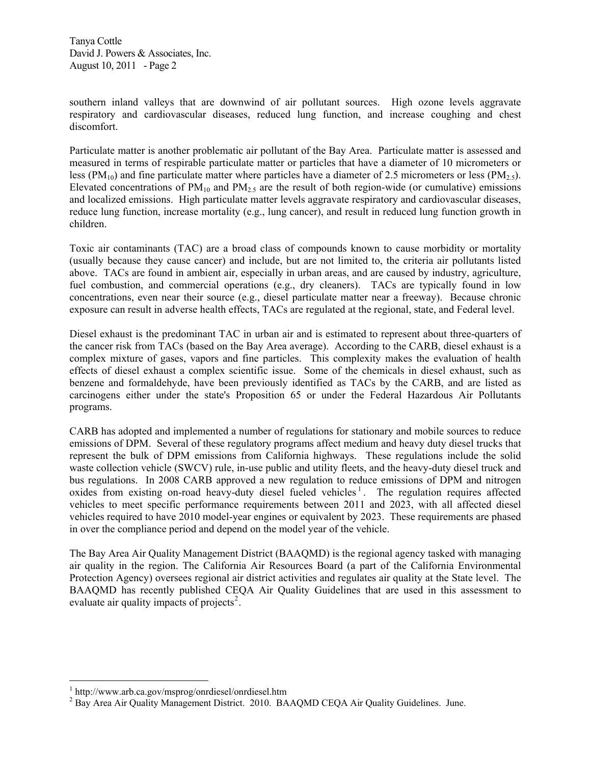southern inland valleys that are downwind of air pollutant sources. High ozone levels aggravate respiratory and cardiovascular diseases, reduced lung function, and increase coughing and chest discomfort.

Particulate matter is another problematic air pollutant of the Bay Area. Particulate matter is assessed and measured in terms of respirable particulate matter or particles that have a diameter of 10 micrometers or less (PM<sub>10</sub>) and fine particulate matter where particles have a diameter of 2.5 micrometers or less (PM<sub>2.5</sub>). Elevated concentrations of  $PM_{10}$  and  $PM_{25}$  are the result of both region-wide (or cumulative) emissions and localized emissions. High particulate matter levels aggravate respiratory and cardiovascular diseases, reduce lung function, increase mortality (e.g., lung cancer), and result in reduced lung function growth in children.

Toxic air contaminants (TAC) are a broad class of compounds known to cause morbidity or mortality (usually because they cause cancer) and include, but are not limited to, the criteria air pollutants listed above. TACs are found in ambient air, especially in urban areas, and are caused by industry, agriculture, fuel combustion, and commercial operations (e.g., dry cleaners). TACs are typically found in low concentrations, even near their source (e.g., diesel particulate matter near a freeway). Because chronic exposure can result in adverse health effects, TACs are regulated at the regional, state, and Federal level.

Diesel exhaust is the predominant TAC in urban air and is estimated to represent about three-quarters of the cancer risk from TACs (based on the Bay Area average). According to the CARB, diesel exhaust is a complex mixture of gases, vapors and fine particles. This complexity makes the evaluation of health effects of diesel exhaust a complex scientific issue. Some of the chemicals in diesel exhaust, such as benzene and formaldehyde, have been previously identified as TACs by the CARB, and are listed as carcinogens either under the state's Proposition 65 or under the Federal Hazardous Air Pollutants programs.

CARB has adopted and implemented a number of regulations for stationary and mobile sources to reduce emissions of DPM. Several of these regulatory programs affect medium and heavy duty diesel trucks that represent the bulk of DPM emissions from California highways. These regulations include the solid waste collection vehicle (SWCV) rule, in-use public and utility fleets, and the heavy-duty diesel truck and bus regulations. In 2008 CARB approved a new regulation to reduce emissions of DPM and nitrogen oxides from existing on-road heavy-duty diesel fueled vehicles<sup>[1](#page-1-0)</sup>. The regulation requires affected vehicles to meet specific performance requirements between 2011 and 2023, with all affected diesel vehicles required to have 2010 model-year engines or equivalent by 2023. These requirements are phased in over the compliance period and depend on the model year of the vehicle.

The Bay Area Air Quality Management District (BAAQMD) is the regional agency tasked with managing air quality in the region. The California Air Resources Board (a part of the California Environmental Protection Agency) oversees regional air district activities and regulates air quality at the State level. The BAAQMD has recently published CEQA Air Quality Guidelines that are used in this assessment to evaluate air quality impacts of projects<sup>[2](#page-1-1)</sup>.

 $\overline{a}$ 

<span id="page-1-0"></span><sup>1</sup> http://www.arb.ca.gov/msprog/onrdiesel/onrdiesel.htm

<span id="page-1-1"></span><sup>&</sup>lt;sup>2</sup> Bay Area Air Quality Management District. 2010. BAAQMD CEQA Air Quality Guidelines. June.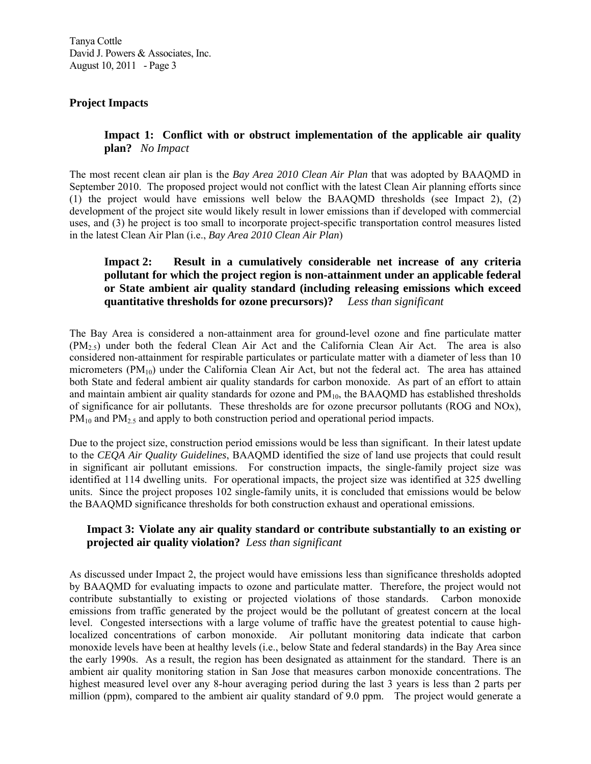# **Project Impacts**

**Impact 1: Conflict with or obstruct implementation of the applicable air quality plan?** *No Impact*

The most recent clean air plan is the *Bay Area 2010 Clean Air Plan* that was adopted by BAAQMD in September 2010. The proposed project would not conflict with the latest Clean Air planning efforts since (1) the project would have emissions well below the BAAQMD thresholds (see Impact 2), (2) development of the project site would likely result in lower emissions than if developed with commercial uses, and (3) he project is too small to incorporate project-specific transportation control measures listed in the latest Clean Air Plan (i.e., *Bay Area 2010 Clean Air Plan*)

# **Impact 2: Result in a cumulatively considerable net increase of any criteria pollutant for which the project region is non-attainment under an applicable federal or State ambient air quality standard (including releasing emissions which exceed quantitative thresholds for ozone precursors)?** *Less than significant*

The Bay Area is considered a non-attainment area for ground-level ozone and fine particulate matter  $(PM_{2.5})$  under both the federal Clean Air Act and the California Clean Air Act. The area is also considered non-attainment for respirable particulates or particulate matter with a diameter of less than 10 micrometers  $(PM_{10})$  under the California Clean Air Act, but not the federal act. The area has attained both State and federal ambient air quality standards for carbon monoxide. As part of an effort to attain and maintain ambient air quality standards for ozone and  $PM_{10}$ , the BAAQMD has established thresholds of significance for air pollutants. These thresholds are for ozone precursor pollutants (ROG and NOx), PM<sub>10</sub> and PM<sub>2.5</sub> and apply to both construction period and operational period impacts.

Due to the project size, construction period emissions would be less than significant. In their latest update to the *CEQA Air Quality Guidelines*, BAAQMD identified the size of land use projects that could result in significant air pollutant emissions. For construction impacts, the single-family project size was identified at 114 dwelling units. For operational impacts, the project size was identified at 325 dwelling units. Since the project proposes 102 single-family units, it is concluded that emissions would be below the BAAQMD significance thresholds for both construction exhaust and operational emissions.

# **Impact 3: Violate any air quality standard or contribute substantially to an existing or projected air quality violation?** *Less than significant*

As discussed under Impact 2, the project would have emissions less than significance thresholds adopted by BAAQMD for evaluating impacts to ozone and particulate matter. Therefore, the project would not contribute substantially to existing or projected violations of those standards. Carbon monoxide emissions from traffic generated by the project would be the pollutant of greatest concern at the local level. Congested intersections with a large volume of traffic have the greatest potential to cause highlocalized concentrations of carbon monoxide. Air pollutant monitoring data indicate that carbon monoxide levels have been at healthy levels (i.e., below State and federal standards) in the Bay Area since the early 1990s. As a result, the region has been designated as attainment for the standard. There is an ambient air quality monitoring station in San Jose that measures carbon monoxide concentrations. The highest measured level over any 8-hour averaging period during the last 3 years is less than 2 parts per million (ppm), compared to the ambient air quality standard of 9.0 ppm. The project would generate a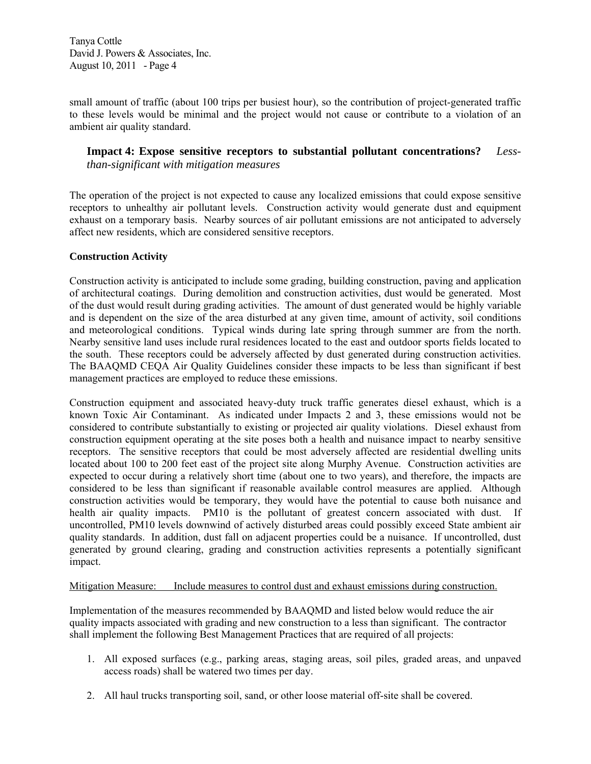small amount of traffic (about 100 trips per busiest hour), so the contribution of project-generated traffic to these levels would be minimal and the project would not cause or contribute to a violation of an ambient air quality standard.

## **Impact 4: Expose sensitive receptors to substantial pollutant concentrations?** *Lessthan-significant with mitigation measures*

The operation of the project is not expected to cause any localized emissions that could expose sensitive receptors to unhealthy air pollutant levels. Construction activity would generate dust and equipment exhaust on a temporary basis. Nearby sources of air pollutant emissions are not anticipated to adversely affect new residents, which are considered sensitive receptors.

#### **Construction Activity**

Construction activity is anticipated to include some grading, building construction, paving and application of architectural coatings. During demolition and construction activities, dust would be generated. Most of the dust would result during grading activities. The amount of dust generated would be highly variable and is dependent on the size of the area disturbed at any given time, amount of activity, soil conditions and meteorological conditions. Typical winds during late spring through summer are from the north. Nearby sensitive land uses include rural residences located to the east and outdoor sports fields located to the south. These receptors could be adversely affected by dust generated during construction activities. The BAAQMD CEQA Air Quality Guidelines consider these impacts to be less than significant if best management practices are employed to reduce these emissions.

Construction equipment and associated heavy-duty truck traffic generates diesel exhaust, which is a known Toxic Air Contaminant. As indicated under Impacts 2 and 3, these emissions would not be considered to contribute substantially to existing or projected air quality violations. Diesel exhaust from construction equipment operating at the site poses both a health and nuisance impact to nearby sensitive receptors. The sensitive receptors that could be most adversely affected are residential dwelling units located about 100 to 200 feet east of the project site along Murphy Avenue. Construction activities are expected to occur during a relatively short time (about one to two years), and therefore, the impacts are considered to be less than significant if reasonable available control measures are applied. Although construction activities would be temporary, they would have the potential to cause both nuisance and health air quality impacts. PM10 is the pollutant of greatest concern associated with dust. If uncontrolled, PM10 levels downwind of actively disturbed areas could possibly exceed State ambient air quality standards. In addition, dust fall on adjacent properties could be a nuisance. If uncontrolled, dust generated by ground clearing, grading and construction activities represents a potentially significant impact.

## Mitigation Measure: Include measures to control dust and exhaust emissions during construction.

Implementation of the measures recommended by BAAQMD and listed below would reduce the air quality impacts associated with grading and new construction to a less than significant. The contractor shall implement the following Best Management Practices that are required of all projects:

- 1. All exposed surfaces (e.g., parking areas, staging areas, soil piles, graded areas, and unpaved access roads) shall be watered two times per day.
- 2. All haul trucks transporting soil, sand, or other loose material off-site shall be covered.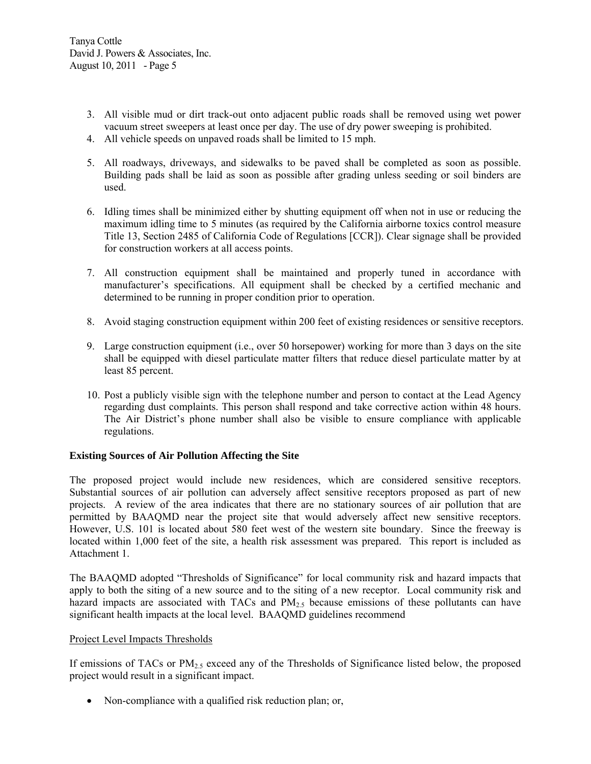- 3. All visible mud or dirt track-out onto adjacent public roads shall be removed using wet power vacuum street sweepers at least once per day. The use of dry power sweeping is prohibited.
- 4. All vehicle speeds on unpaved roads shall be limited to 15 mph.
- 5. All roadways, driveways, and sidewalks to be paved shall be completed as soon as possible. Building pads shall be laid as soon as possible after grading unless seeding or soil binders are used.
- 6. Idling times shall be minimized either by shutting equipment off when not in use or reducing the maximum idling time to 5 minutes (as required by the California airborne toxics control measure Title 13, Section 2485 of California Code of Regulations [CCR]). Clear signage shall be provided for construction workers at all access points.
- 7. All construction equipment shall be maintained and properly tuned in accordance with manufacturer's specifications. All equipment shall be checked by a certified mechanic and determined to be running in proper condition prior to operation.
- 8. Avoid staging construction equipment within 200 feet of existing residences or sensitive receptors.
- 9. Large construction equipment (i.e., over 50 horsepower) working for more than 3 days on the site shall be equipped with diesel particulate matter filters that reduce diesel particulate matter by at least 85 percent.
- 10. Post a publicly visible sign with the telephone number and person to contact at the Lead Agency regarding dust complaints. This person shall respond and take corrective action within 48 hours. The Air District's phone number shall also be visible to ensure compliance with applicable regulations.

#### **Existing Sources of Air Pollution Affecting the Site**

The proposed project would include new residences, which are considered sensitive receptors. Substantial sources of air pollution can adversely affect sensitive receptors proposed as part of new projects. A review of the area indicates that there are no stationary sources of air pollution that are permitted by BAAQMD near the project site that would adversely affect new sensitive receptors. However, U.S. 101 is located about 580 feet west of the western site boundary. Since the freeway is located within 1,000 feet of the site, a health risk assessment was prepared. This report is included as Attachment 1.

The BAAQMD adopted "Thresholds of Significance" for local community risk and hazard impacts that apply to both the siting of a new source and to the siting of a new receptor. Local community risk and hazard impacts are associated with TACs and  $PM<sub>2.5</sub>$  because emissions of these pollutants can have significant health impacts at the local level. BAAQMD guidelines recommend

#### Project Level Impacts Thresholds

If emissions of TACs or PM<sub>2.5</sub> exceed any of the Thresholds of Significance listed below, the proposed project would result in a significant impact.

• Non-compliance with a qualified risk reduction plan; or,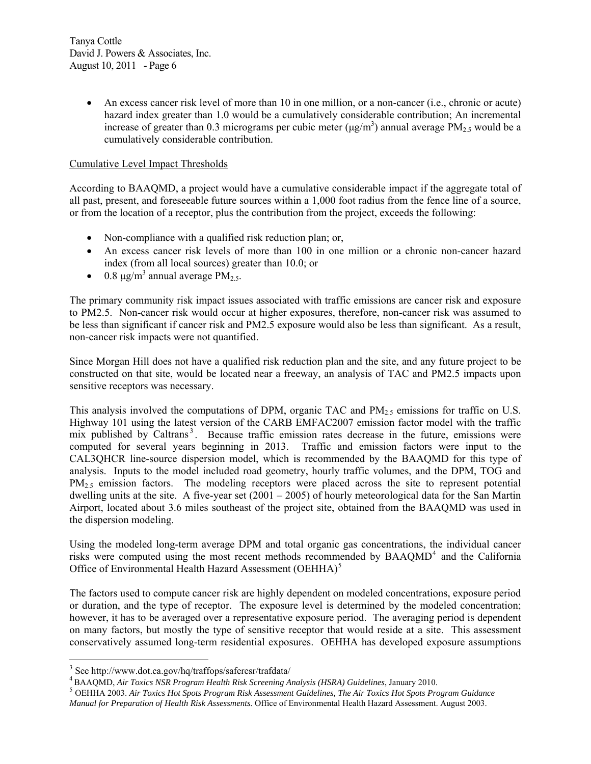• An excess cancer risk level of more than 10 in one million, or a non-cancer (i.e., chronic or acute) hazard index greater than 1.0 would be a cumulatively considerable contribution; An incremental increase of greater than 0.3 micrograms per cubic meter  $(\mu g/m^3)$  annual average PM<sub>2.5</sub> would be a cumulatively considerable contribution.

## Cumulative Level Impact Thresholds

According to BAAQMD, a project would have a cumulative considerable impact if the aggregate total of all past, present, and foreseeable future sources within a 1,000 foot radius from the fence line of a source, or from the location of a receptor, plus the contribution from the project, exceeds the following:

- Non-compliance with a qualified risk reduction plan; or,
- An excess cancer risk levels of more than 100 in one million or a chronic non-cancer hazard index (from all local sources) greater than 10.0; or
- 0.8  $\mu$ g/m<sup>3</sup> annual average PM<sub>2.5</sub>.

The primary community risk impact issues associated with traffic emissions are cancer risk and exposure to PM2.5. Non-cancer risk would occur at higher exposures, therefore, non-cancer risk was assumed to be less than significant if cancer risk and PM2.5 exposure would also be less than significant. As a result, non-cancer risk impacts were not quantified.

Since Morgan Hill does not have a qualified risk reduction plan and the site, and any future project to be constructed on that site, would be located near a freeway, an analysis of TAC and PM2.5 impacts upon sensitive receptors was necessary.

This analysis involved the computations of DPM, organic TAC and  $PM_{2.5}$  emissions for traffic on U.S. Highway 101 using the latest version of the CARB EMFAC2007 emission factor model with the traffic mix published by Caltrans<sup>[3](#page-5-0)</sup>. Because traffic emission rates decrease in the future, emissions were computed for several years beginning in 2013. Traffic and emission factors were input to the CAL3QHCR line-source dispersion model, which is recommended by the BAAQMD for this type of analysis. Inputs to the model included road geometry, hourly traffic volumes, and the DPM, TOG and  $PM<sub>2.5</sub>$  emission factors. The modeling receptors were placed across the site to represent potential dwelling units at the site. A five-year set  $(2001 - 2005)$  of hourly meteorological data for the San Martin Airport, located about 3.6 miles southeast of the project site, obtained from the BAAQMD was used in the dispersion modeling.

Using the modeled long-term average DPM and total organic gas concentrations, the individual cancer risks were computed using the most recent methods recommended by  $BAAQMD<sup>4</sup>$  $BAAQMD<sup>4</sup>$  $BAAQMD<sup>4</sup>$  and the California Office of Environmental Health Hazard Assessment (OEHHA)<sup>[5](#page-5-2)</sup>

The factors used to compute cancer risk are highly dependent on modeled concentrations, exposure period or duration, and the type of receptor. The exposure level is determined by the modeled concentration; however, it has to be averaged over a representative exposure period. The averaging period is dependent on many factors, but mostly the type of sensitive receptor that would reside at a site. This assessment conservatively assumed long-term residential exposures. OEHHA has developed exposure assumptions

 $\overline{a}$ 

<span id="page-5-0"></span><sup>&</sup>lt;sup>3</sup> See http://www.dot.ca.gov/hq/traffops/saferesr/trafdata/

<span id="page-5-2"></span>

<span id="page-5-1"></span> $^4$ BAAQMD, Air Toxics NSR Program Health Risk Screening Analysis (HSRA) Guidelines, January 2010.<br><sup>5</sup> OEHHA 2003. Air Toxics Hot Spots Program Risk Assessment Guidelines, The Air Toxics Hot Spots Program Guidance *Manual for Preparation of Health Risk Assessments*. Office of Environmental Health Hazard Assessment. August 2003.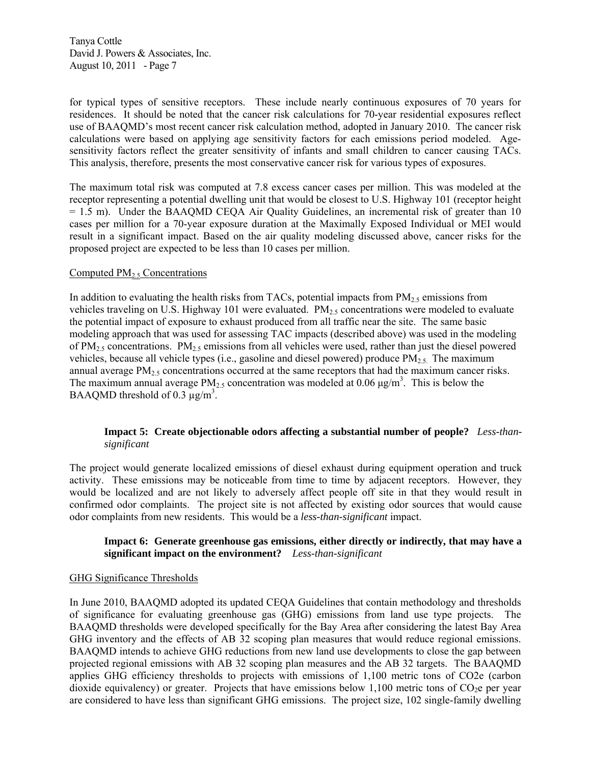for typical types of sensitive receptors. These include nearly continuous exposures of 70 years for residences. It should be noted that the cancer risk calculations for 70-year residential exposures reflect use of BAAQMD's most recent cancer risk calculation method, adopted in January 2010. The cancer risk calculations were based on applying age sensitivity factors for each emissions period modeled. Agesensitivity factors reflect the greater sensitivity of infants and small children to cancer causing TACs. This analysis, therefore, presents the most conservative cancer risk for various types of exposures.

The maximum total risk was computed at 7.8 excess cancer cases per million. This was modeled at the receptor representing a potential dwelling unit that would be closest to U.S. Highway 101 (receptor height  $= 1.5$  m). Under the BAAQMD CEQA Air Quality Guidelines, an incremental risk of greater than 10 cases per million for a 70-year exposure duration at the Maximally Exposed Individual or MEI would result in a significant impact. Based on the air quality modeling discussed above, cancer risks for the proposed project are expected to be less than 10 cases per million.

#### Computed  $PM_2$ , Concentrations

In addition to evaluating the health risks from TACs, potential impacts from  $PM<sub>2.5</sub>$  emissions from vehicles traveling on U.S. Highway 101 were evaluated.  $PM_{2.5}$  concentrations were modeled to evaluate the potential impact of exposure to exhaust produced from all traffic near the site. The same basic modeling approach that was used for assessing TAC impacts (described above) was used in the modeling of  $PM_{2.5}$  concentrations.  $PM_{2.5}$  emissions from all vehicles were used, rather than just the diesel powered vehicles, because all vehicle types (i.e., gasoline and diesel powered) produce  $PM_{2.5}$ . The maximum annual average  $PM_{2.5}$  concentrations occurred at the same receptors that had the maximum cancer risks. The maximum annual average  $PM_{2.5}$  concentration was modeled at 0.06  $\mu$ g/m<sup>3</sup>. This is below the BAAQMD threshold of 0.3  $\mu$ g/m<sup>3</sup>.

## **Impact 5: Create objectionable odors affecting a substantial number of people?** *Less-thansignificant*

The project would generate localized emissions of diesel exhaust during equipment operation and truck activity. These emissions may be noticeable from time to time by adjacent receptors. However, they would be localized and are not likely to adversely affect people off site in that they would result in confirmed odor complaints. The project site is not affected by existing odor sources that would cause odor complaints from new residents. This would be a *less-than-significant* impact.

#### **Impact 6: Generate greenhouse gas emissions, either directly or indirectly, that may have a significant impact on the environment?** *Less-than-significant*

#### GHG Significance Thresholds

In June 2010, BAAQMD adopted its updated CEQA Guidelines that contain methodology and thresholds of significance for evaluating greenhouse gas (GHG) emissions from land use type projects. The BAAQMD thresholds were developed specifically for the Bay Area after considering the latest Bay Area GHG inventory and the effects of AB 32 scoping plan measures that would reduce regional emissions. BAAQMD intends to achieve GHG reductions from new land use developments to close the gap between projected regional emissions with AB 32 scoping plan measures and the AB 32 targets. The BAAQMD applies GHG efficiency thresholds to projects with emissions of 1,100 metric tons of CO2e (carbon dioxide equivalency) or greater. Projects that have emissions below 1,100 metric tons of  $CO<sub>2</sub>$  per year are considered to have less than significant GHG emissions. The project size, 102 single-family dwelling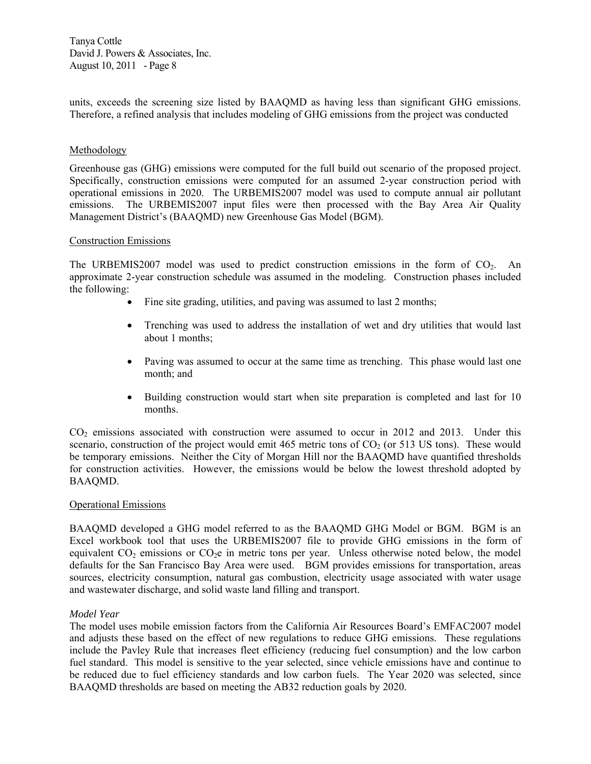units, exceeds the screening size listed by BAAQMD as having less than significant GHG emissions. Therefore, a refined analysis that includes modeling of GHG emissions from the project was conducted

#### Methodology

Greenhouse gas (GHG) emissions were computed for the full build out scenario of the proposed project. Specifically, construction emissions were computed for an assumed 2-year construction period with operational emissions in 2020. The URBEMIS2007 model was used to compute annual air pollutant emissions. The URBEMIS2007 input files were then processed with the Bay Area Air Quality Management District's (BAAQMD) new Greenhouse Gas Model (BGM).

#### Construction Emissions

The URBEMIS2007 model was used to predict construction emissions in the form of  $CO<sub>2</sub>$ . An approximate 2-year construction schedule was assumed in the modeling. Construction phases included the following:

- Fine site grading, utilities, and paving was assumed to last 2 months;
- Trenching was used to address the installation of wet and dry utilities that would last about 1 months;
- Paving was assumed to occur at the same time as trenching. This phase would last one month; and
- Building construction would start when site preparation is completed and last for 10 months.

 $CO<sub>2</sub>$  emissions associated with construction were assumed to occur in 2012 and 2013. Under this scenario, construction of the project would emit 465 metric tons of  $CO<sub>2</sub>$  (or 513 US tons). These would be temporary emissions. Neither the City of Morgan Hill nor the BAAQMD have quantified thresholds for construction activities. However, the emissions would be below the lowest threshold adopted by BAAQMD.

#### Operational Emissions

BAAQMD developed a GHG model referred to as the BAAQMD GHG Model or BGM. BGM is an Excel workbook tool that uses the URBEMIS2007 file to provide GHG emissions in the form of equivalent  $CO<sub>2</sub>$  emissions or  $CO<sub>2</sub>e$  in metric tons per year. Unless otherwise noted below, the model defaults for the San Francisco Bay Area were used. BGM provides emissions for transportation, areas sources, electricity consumption, natural gas combustion, electricity usage associated with water usage and wastewater discharge, and solid waste land filling and transport.

#### *Model Year*

The model uses mobile emission factors from the California Air Resources Board's EMFAC2007 model and adjusts these based on the effect of new regulations to reduce GHG emissions. These regulations include the Pavley Rule that increases fleet efficiency (reducing fuel consumption) and the low carbon fuel standard. This model is sensitive to the year selected, since vehicle emissions have and continue to be reduced due to fuel efficiency standards and low carbon fuels. The Year 2020 was selected, since BAAQMD thresholds are based on meeting the AB32 reduction goals by 2020.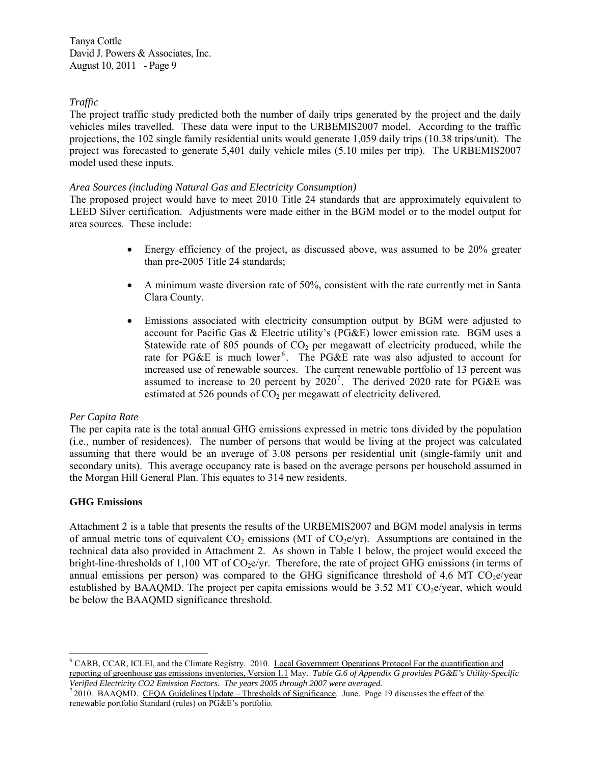## *Traffic*

The project traffic study predicted both the number of daily trips generated by the project and the daily vehicles miles travelled. These data were input to the URBEMIS2007 model. According to the traffic projections, the 102 single family residential units would generate 1,059 daily trips (10.38 trips/unit). The project was forecasted to generate 5,401 daily vehicle miles (5.10 miles per trip). The URBEMIS2007 model used these inputs.

#### *Area Sources (including Natural Gas and Electricity Consumption)*

The proposed project would have to meet 2010 Title 24 standards that are approximately equivalent to LEED Silver certification. Adjustments were made either in the BGM model or to the model output for area sources. These include:

- Energy efficiency of the project, as discussed above, was assumed to be 20% greater than pre-2005 Title 24 standards;
- A minimum waste diversion rate of 50%, consistent with the rate currently met in Santa Clara County.
- Emissions associated with electricity consumption output by BGM were adjusted to account for Pacific Gas & Electric utility's (PG&E) lower emission rate. BGM uses a Statewide rate of 805 pounds of  $CO<sub>2</sub>$  per megawatt of electricity produced, while the rate for PG&E is much lower<sup>[6](#page-8-0)</sup>. The PG&E rate was also adjusted to account for increased use of renewable sources. The current renewable portfolio of 13 percent was assumed to increase to 20 percent by  $2020^7$  $2020^7$ . The derived 2020 rate for PG&E was estimated at 526 pounds of  $CO<sub>2</sub>$  per megawatt of electricity delivered.

#### *Per Capita Rate*

The per capita rate is the total annual GHG emissions expressed in metric tons divided by the population (i.e., number of residences). The number of persons that would be living at the project was calculated assuming that there would be an average of 3.08 persons per residential unit (single-family unit and secondary units). This average occupancy rate is based on the average persons per household assumed in the Morgan Hill General Plan. This equates to 314 new residents.

#### **GHG Emissions**

 $\overline{a}$ 

Attachment 2 is a table that presents the results of the URBEMIS2007 and BGM model analysis in terms of annual metric tons of equivalent  $CO_2$  emissions (MT of  $CO_2$ e/yr). Assumptions are contained in the technical data also provided in Attachment 2. As shown in Table 1 below, the project would exceed the bright-line-thresholds of 1,100 MT of  $CO<sub>2</sub>e/yr$ . Therefore, the rate of project GHG emissions (in terms of annual emissions per person) was compared to the GHG significance threshold of 4.6 MT CO $_2$ e/year established by BAAQMD. The project per capita emissions would be  $3.52$  MT CO<sub>2</sub>e/year, which would be below the BAAQMD significance threshold.

<span id="page-8-0"></span><sup>&</sup>lt;sup>6</sup> CARB, CCAR, ICLEI, and the Climate Registry. 2010. Local Government Operations Protocol For the quantification and reporting of greenhouse gas emissions inventories, Version 1.1 May. *Table G.6 of Appendix G provides PG&E's Utility-Specific* 

<span id="page-8-1"></span>*Verified Electricity CO2 Emission Factors. The years 2005 through 2007 were averaged.* 7 2010. BAAQMD. CEQA Guidelines Update – Thresholds of Significance. June. Page 19 discusses the effect of the renewable portfolio Standard (rules) on PG&E's portfolio.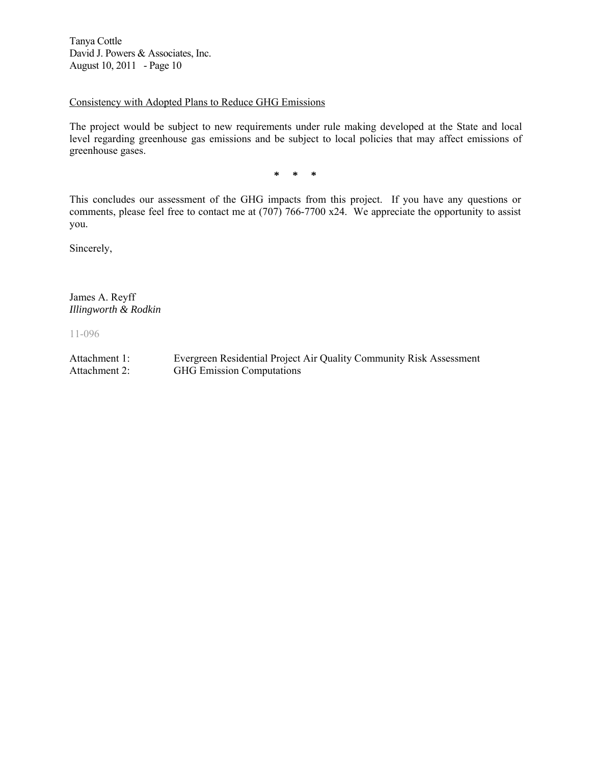#### Consistency with Adopted Plans to Reduce GHG Emissions

The project would be subject to new requirements under rule making developed at the State and local level regarding greenhouse gas emissions and be subject to local policies that may affect emissions of greenhouse gases.

**\* \* \*** 

This concludes our assessment of the GHG impacts from this project. If you have any questions or comments, please feel free to contact me at (707) 766-7700 x24. We appreciate the opportunity to assist you.

Sincerely,

James A. Reyff *Illingworth & Rodkin* 

11-096

Attachment 1: Evergreen Residential Project Air Quality Community Risk Assessment Attachment 2: GHG Emission Computations